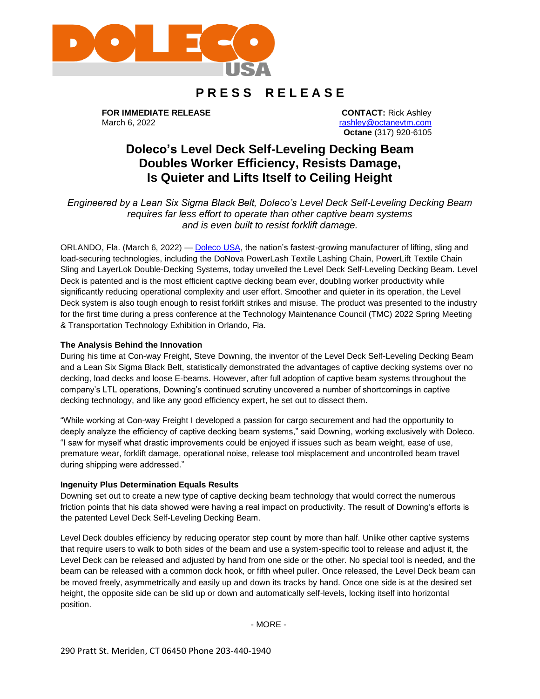

# **P R E S S R E L E A S E**

**FOR IMMEDIATE RELEASE** March 6, 2022

**CONTACT:** Rick Ashley [rashley@octanevtm.com](mailto:rashley@octanevtm.com) **Octane** (317) 920-6105

# **Doleco's Level Deck Self-Leveling Decking Beam Doubles Worker Efficiency, Resists Damage, Is Quieter and Lifts Itself to Ceiling Height**

*Engineered by a Lean Six Sigma Black Belt, Doleco's Level Deck Self-Leveling Decking Beam requires far less effort to operate than other captive beam systems and is even built to resist forklift damage.*

ORLANDO, Fla. (March 6, 2022) — [Doleco USA,](https://doleco-usa.com/) the nation's fastest-growing manufacturer of lifting, sling and load-securing technologies, including the DoNova PowerLash Textile Lashing Chain, PowerLift Textile Chain Sling and LayerLok Double-Decking Systems, today unveiled the Level Deck Self-Leveling Decking Beam. Level Deck is patented and is the most efficient captive decking beam ever, doubling worker productivity while significantly reducing operational complexity and user effort. Smoother and quieter in its operation, the Level Deck system is also tough enough to resist forklift strikes and misuse. The product was presented to the industry for the first time during a press conference at the Technology Maintenance Council (TMC) 2022 Spring Meeting & Transportation Technology Exhibition in Orlando, Fla.

## **The Analysis Behind the Innovation**

During his time at Con-way Freight, Steve Downing, the inventor of the Level Deck Self-Leveling Decking Beam and a Lean Six Sigma Black Belt, statistically demonstrated the advantages of captive decking systems over no decking, load decks and loose E-beams. However, after full adoption of captive beam systems throughout the company's LTL operations, Downing's continued scrutiny uncovered a number of shortcomings in captive decking technology, and like any good efficiency expert, he set out to dissect them.

"While working at Con-way Freight I developed a passion for cargo securement and had the opportunity to deeply analyze the efficiency of captive decking beam systems," said Downing, working exclusively with Doleco. "I saw for myself what drastic improvements could be enjoyed if issues such as beam weight, ease of use, premature wear, forklift damage, operational noise, release tool misplacement and uncontrolled beam travel during shipping were addressed."

#### **Ingenuity Plus Determination Equals Results**

Downing set out to create a new type of captive decking beam technology that would correct the numerous friction points that his data showed were having a real impact on productivity. The result of Downing's efforts is the patented Level Deck Self-Leveling Decking Beam.

Level Deck doubles efficiency by reducing operator step count by more than half. Unlike other captive systems that require users to walk to both sides of the beam and use a system-specific tool to release and adjust it, the Level Deck can be released and adjusted by hand from one side or the other. No special tool is needed, and the beam can be released with a common dock hook, or fifth wheel puller. Once released, the Level Deck beam can be moved freely, asymmetrically and easily up and down its tracks by hand. Once one side is at the desired set height, the opposite side can be slid up or down and automatically self-levels, locking itself into horizontal position.

- MORE -